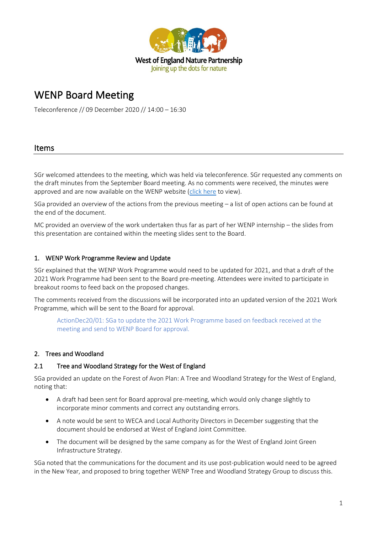

# WENP Board Meeting

Teleconference // 09 December 2020 // 14:00 – 16:30

### Items

SGr welcomed attendees to the meeting, which was held via teleconference. SGr requested any comments on the draft minutes from the September Board meeting. As no comments were received, the minutes were approved and are now available on the WENP website [\(click here](https://www.wenp.org.uk/wp-content/uploads/2020/12/2020.09-WENP-Board-Minutes.pdf) to view).

SGa provided an overview of the actions from the previous meeting – a list of open actions can be found at the end of the document.

MC provided an overview of the work undertaken thus far as part of her WENP internship – the slides from this presentation are contained within the meeting slides sent to the Board.

#### 1. WENP Work Programme Review and Update

SGr explained that the WENP Work Programme would need to be updated for 2021, and that a draft of the 2021 Work Programme had been sent to the Board pre-meeting. Attendees were invited to participate in breakout rooms to feed back on the proposed changes.

The comments received from the discussions will be incorporated into an updated version of the 2021 Work Programme, which will be sent to the Board for approval.

ActionDec20/01: SGa to update the 2021 Work Programme based on feedback received at the meeting and send to WENP Board for approval.

#### 2. Trees and Woodland

#### 2.1 Tree and Woodland Strategy for the West of England

SGa provided an update on the Forest of Avon Plan: A Tree and Woodland Strategy for the West of England, noting that:

- A draft had been sent for Board approval pre-meeting, which would only change slightly to incorporate minor comments and correct any outstanding errors.
- A note would be sent to WECA and Local Authority Directors in December suggesting that the document should be endorsed at West of England Joint Committee.
- The document will be designed by the same company as for the West of England Joint Green Infrastructure Strategy.

SGa noted that the communications for the document and its use post-publication would need to be agreed in the New Year, and proposed to bring together WENP Tree and Woodland Strategy Group to discuss this.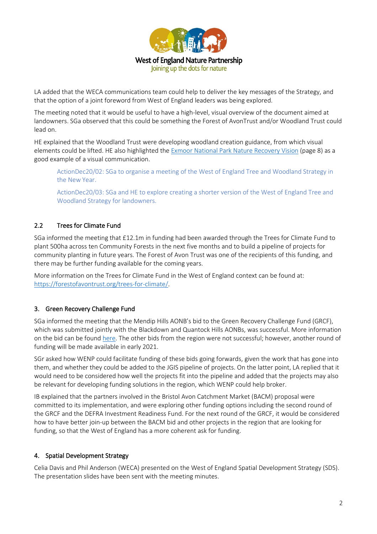

LA added that the WECA communications team could help to deliver the key messages of the Strategy, and that the option of a joint foreword from West of England leaders was being explored.

The meeting noted that it would be useful to have a high-level, visual overview of the document aimed at landowners. SGa observed that this could be something the Forest of AvonTrust and/or Woodland Trust could lead on.

HE explained that the Woodland Trust were developing woodland creation guidance, from which visual elements could be lifted. HE also highlighted the [Exmoor National Park Nature Recovery Vision](https://www.exmoor-nationalpark.gov.uk/about-us/meetings-agendas-reports/exmoor-national-park-authority/03-nov-2020/ar-enpa-03.11.20-Item-13.pdf) (page 8) as a good example of a visual communication.

ActionDec20/02: SGa to organise a meeting of the West of England Tree and Woodland Strategy in the New Year.

ActionDec20/03: SGa and HE to explore creating a shorter version of the West of England Tree and Woodland Strategy for landowners.

## 2.2 Trees for Climate Fund

SGa informed the meeting that £12.1m in funding had been awarded through the Trees for Climate Fund to plant 500ha across ten Community Forests in the next five months and to build a pipeline of projects for community planting in future years. The Forest of Avon Trust was one of the recipients of this funding, and there may be further funding available for the coming years.

More information on the Trees for Climate Fund in the West of England context can be found at: [https://forestofavontrust.org/trees-for-climate/.](https://forestofavontrust.org/trees-for-climate/) 

## 3. Green Recovery Challenge Fund

SGa informed the meeting that the Mendip Hills AONB's bid to the Green Recovery Challenge Fund (GRCF), which was submitted jointly with the Blackdown and Quantock Hills AONBs, was successful. More information on the bid can be found [here.](https://www.mendiphillsaonb.org.uk/2020/12/10/level-up/) The other bids from the region were not successful; however, another round of funding will be made available in early 2021.

SGr asked how WENP could facilitate funding of these bids going forwards, given the work that has gone into them, and whether they could be added to the JGIS pipeline of projects. On the latter point, LA replied that it would need to be considered how well the projects fit into the pipeline and added that the projects may also be relevant for developing funding solutions in the region, which WENP could help broker.

IB explained that the partners involved in the Bristol Avon Catchment Market (BACM) proposal were committed to its implementation, and were exploring other funding options including the second round of the GRCF and the DEFRA Investment Readiness Fund. For the next round of the GRCF, it would be considered how to have better join-up between the BACM bid and other projects in the region that are looking for funding, so that the West of England has a more coherent ask for funding.

#### 4. Spatial Development Strategy

Celia Davis and Phil Anderson (WECA) presented on the West of England Spatial Development Strategy (SDS). The presentation slides have been sent with the meeting minutes.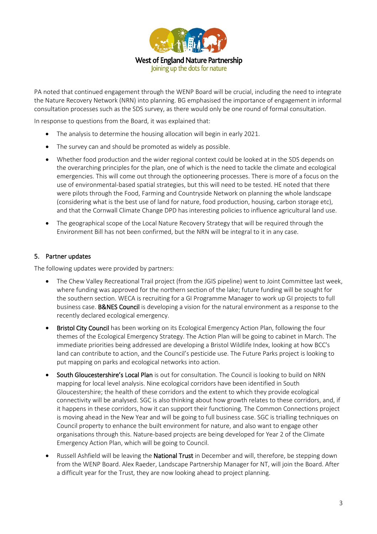

PA noted that continued engagement through the WENP Board will be crucial, including the need to integrate the Nature Recovery Network (NRN) into planning. BG emphasised the importance of engagement in informal consultation processes such as the SDS survey, as there would only be one round of formal consultation.

In response to questions from the Board, it was explained that:

- The analysis to determine the housing allocation will begin in early 2021.
- The survey can and should be promoted as widely as possible.
- Whether food production and the wider regional context could be looked at in the SDS depends on the overarching principles for the plan, one of which is the need to tackle the climate and ecological emergencies. This will come out through the optioneering processes. There is more of a focus on the use of environmental-based spatial strategies, but this will need to be tested. HE noted that there were pilots through the Food, Farming and Countryside Network on planning the whole landscape (considering what is the best use of land for nature, food production, housing, carbon storage etc), and that the Cornwall Climate Change DPD has interesting policies to influence agricultural land use.
- The geographical scope of the Local Nature Recovery Strategy that will be required through the Environment Bill has not been confirmed, but the NRN will be integral to it in any case.

#### 5. Partner updates

The following updates were provided by partners:

- The Chew Valley Recreational Trail project (from the JGIS pipeline) went to Joint Committee last week, where funding was approved for the northern section of the lake; future funding will be sought for the southern section. WECA is recruiting for a GI Programme Manager to work up GI projects to full business case. B&NES Council is developing a vision for the natural environment as a response to the recently declared ecological emergency.
- Bristol City Council has been working on its Ecological Emergency Action Plan, following the four themes of the Ecological Emergency Strategy. The Action Plan will be going to cabinet in March. The immediate priorities being addressed are developing a Bristol Wildlife Index, looking at how BCC's land can contribute to action, and the Council's pesticide use. The Future Parks project is looking to put mapping on parks and ecological networks into action.
- South Gloucestershire's Local Plan is out for consultation. The Council is looking to build on NRN mapping for local level analysis. Nine ecological corridors have been identified in South Gloucestershire; the health of these corridors and the extent to which they provide ecological connectivity will be analysed. SGC is also thinking about how growth relates to these corridors, and, if it happens in these corridors, how it can support their functioning. The Common Connections project is moving ahead in the New Year and will be going to full business case. SGC is trialling techniques on Council property to enhance the built environment for nature, and also want to engage other organisations through this. Nature-based projects are being developed for Year 2 of the Climate Emergency Action Plan, which will be going to Council.
- Russell Ashfield will be leaving the **National Trust** in December and will, therefore, be stepping down from the WENP Board. Alex Raeder, Landscape Partnership Manager for NT, will join the Board. After a difficult year for the Trust, they are now looking ahead to project planning.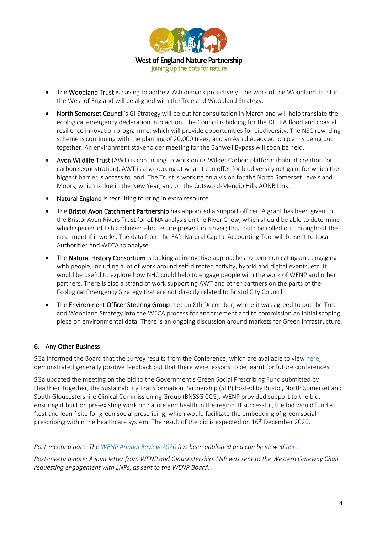

- The Woodland Trust is having to address Ash dieback proactively. The work of the Woodland Trust in the West of England will be aligned with the Tree and Woodland Strategy.
- North Somerset Council's GI Strategy will be out for consultation in March and will help translate the ecological emergency declaration into action. The Council is bidding for the DEFRA flood and coastal resilience innovation programme, which will provide opportunities for biodiversity. The NSC rewilding scheme is continuing with the planting of 20,000 trees, and an Ash dieback action plan is being put together. An environment stakeholder meeting for the Banwell Bypass will soon be held.
- Avon Wildlife Trust (AWT) is continuing to work on its Wilder Carbon platform (habitat creation for carbon sequestration). AWT is also looking at what it can offer for biodiversity net gain, for which the biggest barrier is access to land. The Trust is working on a vision for the North Somerset Levels and Moors, which is due in the New Year, and on the Cotswold-Mendip Hills AONB Link.
- Natural England is recruiting to bring in extra resource.
- The Bristol Avon Catchment Partnership has appointed a support officer. A grant has been given to the Bristol Avon Rivers Trust for eDNA analysis on the River Chew, which should be able to determine which species of fish and invertebrates are present in a river; this could be rolled out throughout the catchment if it works. The data from the EA's Natural Capital Accounting Tool will be sent to Local Authorities and WECA to analyse.
- The **Natural History Consortium** is looking at innovative approaches to communicating and engaging with people, including a lot of work around self-directed activity, hybrid and digital events, etc. It would be useful to explore how NHC could help to engage people with the work of WENP and other partners. There is also a strand of work supporting AWT and other partners on the parts of the Ecological Emergency Strategy that are not directly related to Bristol City Council.
- The **Environment Officer Steering Group** met on 8th December, where it was agreed to put the Tree and Woodland Strategy into the WECA process for endorsement and to commission an initial scoping piece on environmental data. There is an ongoing discussion around markets for Green Infrastructure.

#### 6. Any Other Business

SGa informed the Board that the survey results from the Conference, which are available to view [here,](https://www.surveymonkey.com/stories/SM-8SFDCDGY/) demonstrated generally positive feedback but that there were lessons to be learnt for future conferences.

SGa updated the meeting on the bid to the Government's Green Social Prescribing Fund submitted by Healthier Together, the Sustainability Transformation Partnership (STP) hosted by Bristol, North Somerset and South Gloucestershire Clinical Commissioning Group (BNSSG CCG). WENP provided support to the bid, ensuring it built on pre-existing work on nature and health in the region. If successful, the bid would fund a 'test and learn' site for green social prescribing, which would facilitate the embedding of green social prescribing within the healthcare system. The result of the bid is expected on 16th December 2020.

*Post-meeting note: The [WENP Annual Review 2020](https://www.wenp.org.uk/wp-content/uploads/2020/12/WENP-Annual-Review-2020.pdf) has been published and can be viewed [here.](https://www.wenp.org.uk/wp-content/uploads/2020/12/WENP-Annual-Review-2020.pdf)* 

*Post-meeting note: A joint letter from WENP and Gloucestershire LNP was sent to the Western Gateway Chair requesting engagement with LNPs, as sent to the WENP Board.*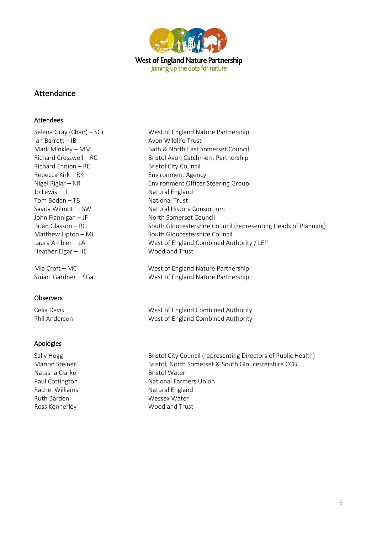

## Attendance

#### Attendees

Selena Gray (Chair) – SGr<br>West of England Nature Partnership Ian Barrett – IB Avon Wildlife Trust Richard Ennion – RE Bristol City Council Rebecca Kirk – RK Environment Agency Jo Lewis – JL Natural England Tom Boden – TB National Trust John Flannigan – JF North Somerset Council Heather Elgar – HE Woodland Trust

#### **Observers**

#### Apologies

Natasha Clarke **Bristol Water** Bristol Water Rachel Williams Natural England Ruth Barden Wessex Water Ross Kennerley Moodland Trust

Mark Minkley – MM Bath & North East Somerset Council Richard Cresswell – RC Bristol Avon Catchment Partnership Nigel Riglar – NR Environment Officer Steering Group Savita Wilmott – SW Natural History Consortium Brian Glasson – BG South Gloucestershire Council (representing Heads of Planning) Matthew Lipton – ML South Gloucestershire Council Laura Ambler – LA West of England Combined Authority / LEP

Mia Croft – MC West of England Nature Partnership Stuart Gardner – SGa West of England Nature Partnership

Celia Davis **Next of England Combined Authority** Phil Anderson West of England Combined Authority

Sally Hogg **Bristol City Council (representing Directors of Public Health)** Bristol City Council (representing Directors of Public Health) Marion Steiner Bristol, North Somerset & South Gloucestershire CCG Paul Cottington National Farmers Union